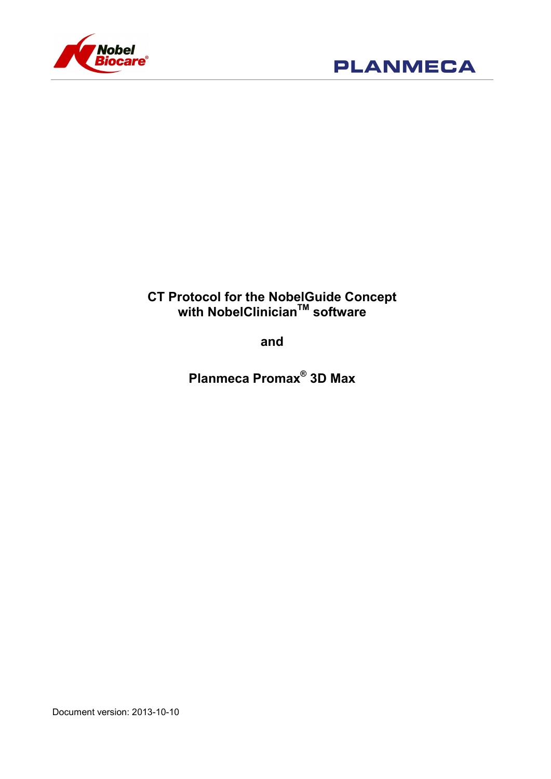



# CT Protocol for the NobelGuide Concept with NobelClinician™ software

and

Planmeca Promax® 3D Max

Document version: 2013-10-10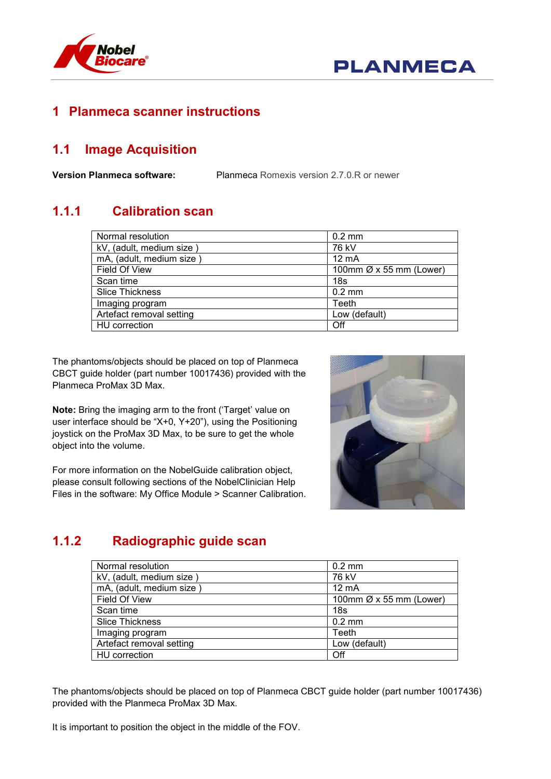

### 1 Planmeca scanner instructions

## 1.1 Image Acquisition

Version Planmeca software: Planmeca Romexis version 2.7.0.R or newer

# 1.1.1 Calibration scan

| Normal resolution        | $0.2 \text{ mm}$        |
|--------------------------|-------------------------|
| kV, (adult, medium size) | 76 kV                   |
| mA, (adult, medium size) | $12 \text{ mA}$         |
| Field Of View            | 100mm Ø x 55 mm (Lower) |
| Scan time                | 18s                     |
| <b>Slice Thickness</b>   | $0.2$ mm                |
| Imaging program          | Teeth                   |
| Artefact removal setting | Low (default)           |
| <b>HU</b> correction     | Off                     |

The phantoms/objects should be placed on top of Planmeca CBCT guide holder (part number 10017436) provided with the Planmeca ProMax 3D Max.

Note: Bring the imaging arm to the front ('Target' value on user interface should be "X+0, Y+20"), using the Positioning joystick on the ProMax 3D Max, to be sure to get the whole object into the volume.

For more information on the NobelGuide calibration object, please consult following sections of the NobelClinician Help Files in the software: My Office Module > Scanner Calibration.



# 1.1.2 Radiographic guide scan

| Normal resolution        | $0.2 \text{ mm}$        |
|--------------------------|-------------------------|
| kV, (adult, medium size) | 76 kV                   |
| mA, (adult, medium size) | $12 \text{ mA}$         |
| Field Of View            | 100mm Ø x 55 mm (Lower) |
| Scan time                | 18 <sub>s</sub>         |
| <b>Slice Thickness</b>   | $0.2 \text{ mm}$        |
| Imaging program          | Teeth                   |
| Artefact removal setting | Low (default)           |
| <b>HU</b> correction     | Off                     |

The phantoms/objects should be placed on top of Planmeca CBCT guide holder (part number 10017436) provided with the Planmeca ProMax 3D Max.

It is important to position the object in the middle of the FOV.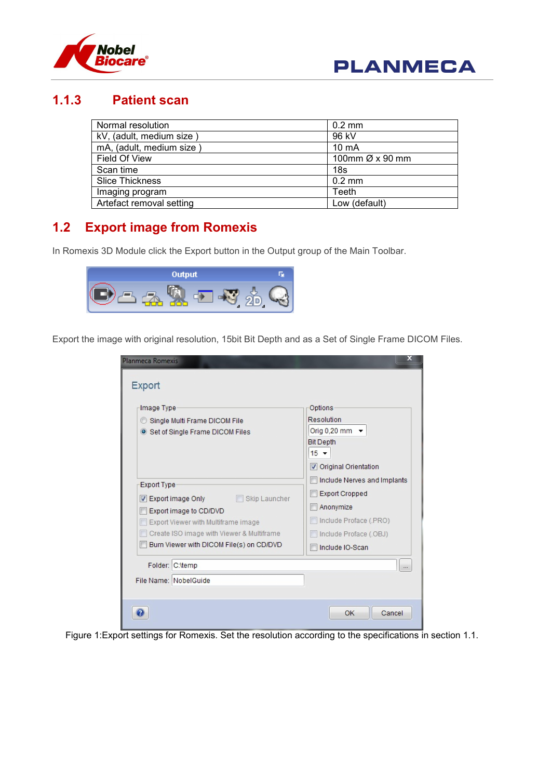



#### 1.1.3 Patient scan

| Normal resolution        | $0.2$ mm                    |
|--------------------------|-----------------------------|
| kV, (adult, medium size) | 96 kV                       |
| mA, (adult, medium size) | $10 \text{ mA}$             |
| Field Of View            | 100mm $\varnothing$ x 90 mm |
| Scan time                | 18s                         |
| <b>Slice Thickness</b>   | $0.2$ mm                    |
| Imaging program          | Teeth                       |
| Artefact removal setting | Low (default)               |

## 1.2 Export image from Romexis

In Romexis 3D Module click the Export button in the Output group of the Main Toolbar.



Export the image with original resolution, 15bit Bit Depth and as a Set of Single Frame DICOM Files.

| Planmeca Romexis<br>Export                                                                                                                                                                                                                    | x                                                                                                                                        |
|-----------------------------------------------------------------------------------------------------------------------------------------------------------------------------------------------------------------------------------------------|------------------------------------------------------------------------------------------------------------------------------------------|
| Image Type<br>Single Multi Frame DICOM File<br>Set of Single Frame DICOM Files                                                                                                                                                                | Options<br>Resolution<br>Orig 0,20 mm $\sim$<br><b>Bit Depth</b><br>$15 -$<br><b>V</b> Original Orientation                              |
| <b>Export Type</b><br><b>Export image Only Export image Only</b> Skip Launcher<br>V<br>Export image to CD/DVD<br>Export Viewer with Multiframe image<br>Create ISO image with Viewer & Multiframe<br>Burn Viewer with DICOM File(s) on CD/DVD | Include Nerves and Implants<br><b>Export Cropped</b><br>Anonymize<br>Include Proface (.PRO)<br>Include Proface (.OBJ)<br>Include IO-Scan |
| Folder: C:\temp<br>File Name: NobelGuide                                                                                                                                                                                                      |                                                                                                                                          |
|                                                                                                                                                                                                                                               | OK<br>Cancel                                                                                                                             |

Figure 1:Export settings for Romexis. Set the resolution according to the specifications in section 1.1.